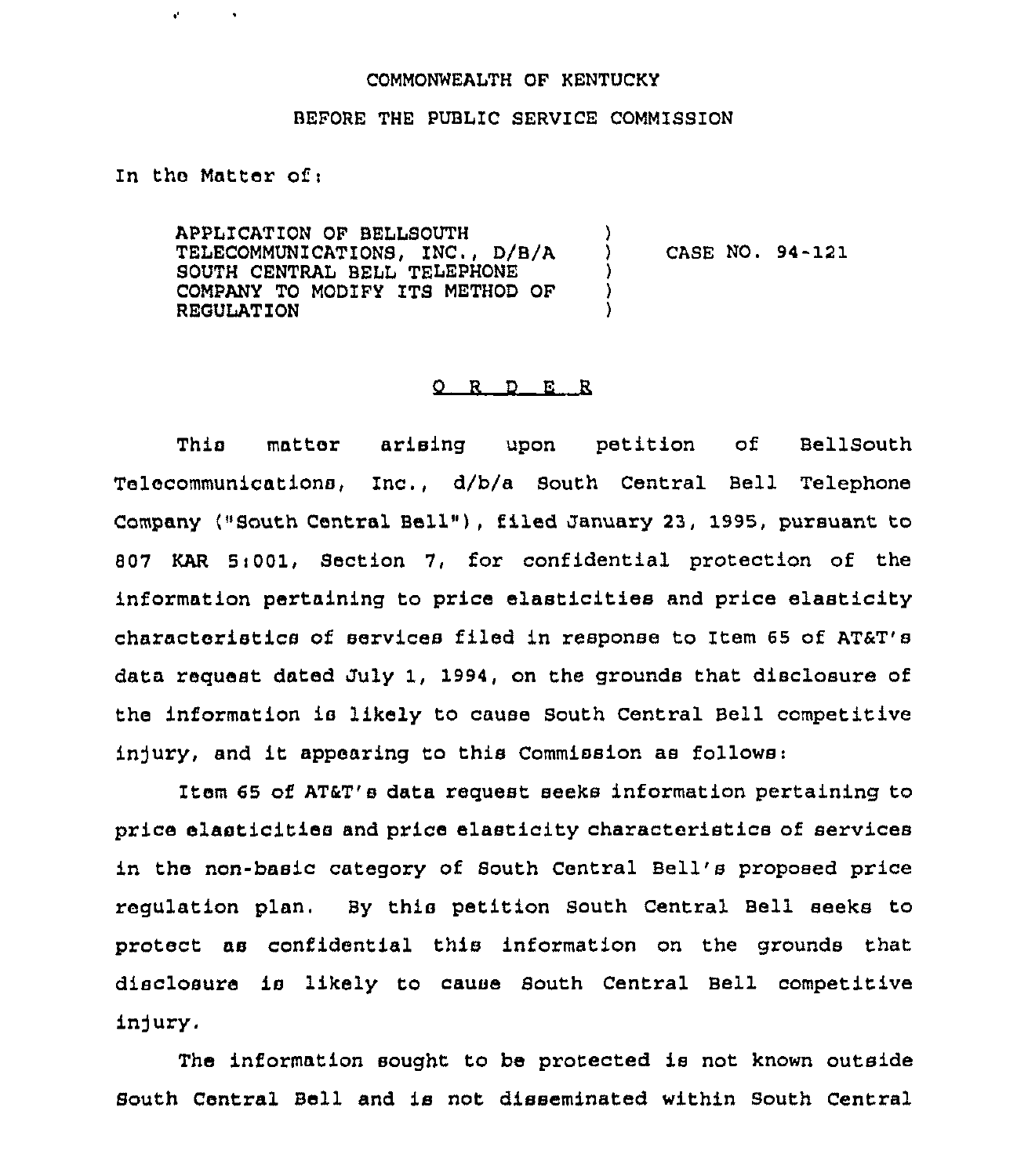## COMMONWEALTH OF KENTUCKY

## BEFORE THE PUBLIC SERVICE COMMISSION

)

) ) )

## In the Matter of <sup>i</sup>

 $\mathbf{r}^{\prime}$ 

APPLICATION OF BELLSOUTH TELECOMMUNICATIONS, ZNC , D/B/A SOUTH CENTRAL BELL TELEPHONE COMPANY TO MODIFY ITS METHOD OF REGULATION

) CASE NO. 94-121

## 0 R <sup>D</sup> E R

This matter arising upon petition of Bellsouth Telecommunications, Inc., d/b/a South Central Bell Telephone Company ("South Central Bell"), filed January 23, 1995, pursuant to 807 KAR 5:001, Section 7, for confidential protection of the information pertaining to price elasticities and price elasticity characteristics of services filed in response to Item 65 of AT&T's data request dated July 1, 1994, on the grounds that disclosure of the information is likely to cause South Central Bell competitive injury, and it appearing to this Commission as follows:

Item 65 of AT&T's data request seeks information pertaining to price elasticities and price elasticity characteristics of services in the non-basic category of South Central Bell's proposed price regulation plan. By this petition South Central Bell seeks to protect as confidential this infoxmation on the grounds that disclosure is likely to cause South Central Bell competitive in)ury.

The information sought to be protected is not known outside South Central Bell and is not disseminated within South Central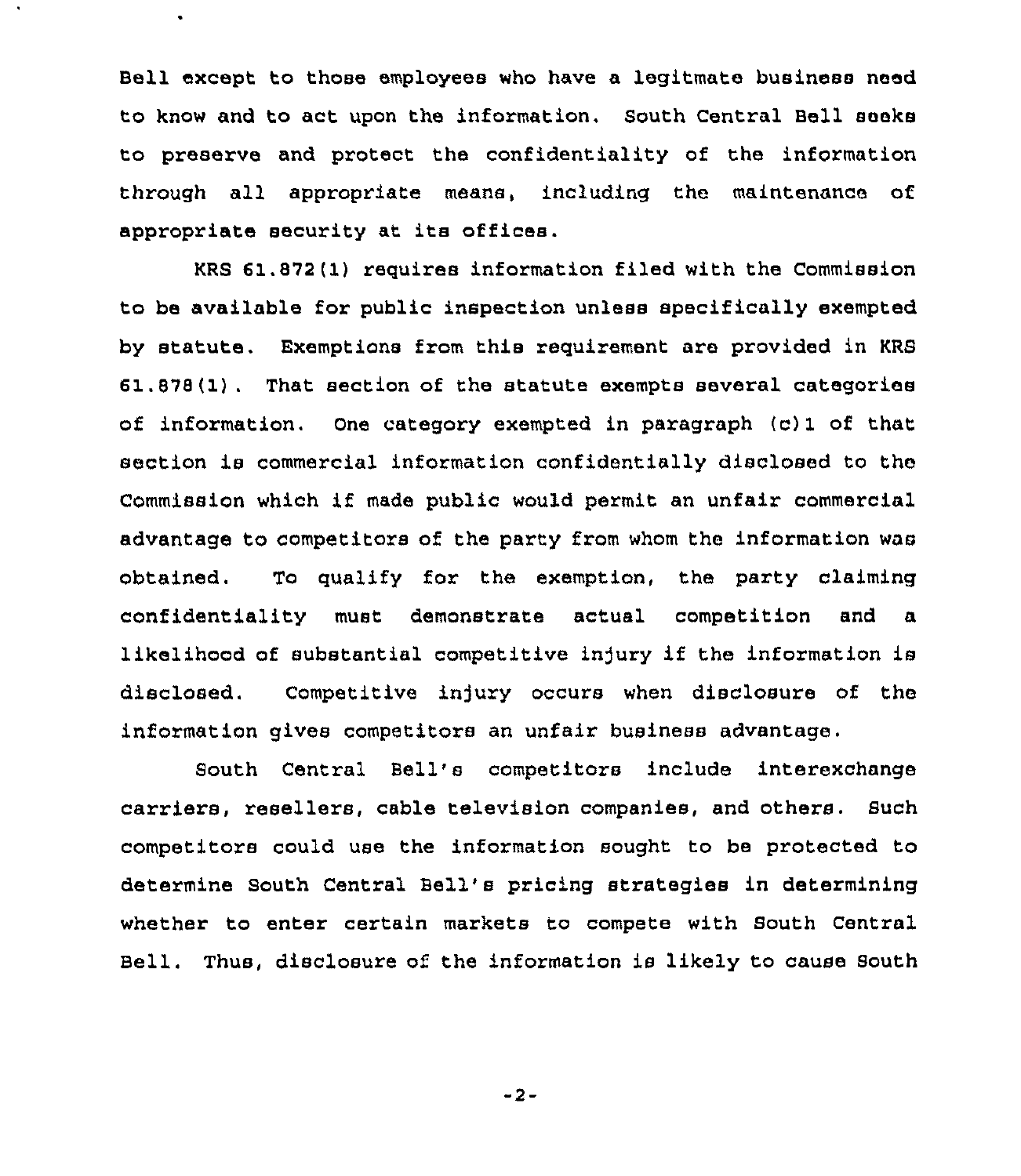Bell except to those employees who have a legitmate business need to know and to act upon the information. South Central Bell seeks to preserve and protect the confidentiality of the information through all appropriate means, including the maintenance of appropriate security at its offices.

KRS 61,872(1) requires information filed with the Commission to be available for public inspection unless specifically exempted by statute. Exemptions from this requirement are provided in KRS 61.878(1). That section of the statute exempts several categories of information. One category exempted in paragraph (c) 1 of that section is commercial information confidentially disclosed to the Commission which if made public would permit an unfair commercial advantage to competitors of the party from whom the information was obtained. To qualify for the exemption, the party claiming confidentiality must demonstrate actual competition and a likelihood of substantial competitive injury if the information is disclosed. Competitive injury occurs when disclosure of the information gives competitors an unfair business advantage.

South Central Bell's competitors include interexchange carriers, resellers, cable television companies, and others. Such competitors could use the information sought to be protected to determine South Central Bell's pricing strategies in determining whether to enter certain markets to compete with South Central Bell. Thus, disclosure of the information is likely to cause South

-2-